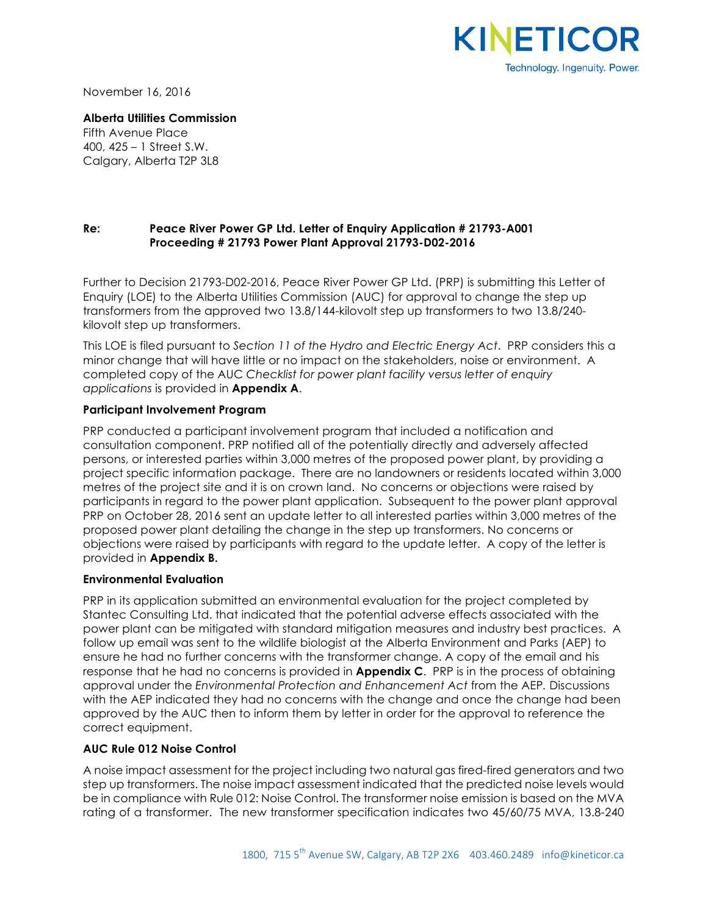

November 16, 2016

**Alberta Utilities Commission** Fifth Avenue Place 400, 425 – 1 Street S.W. Calgary, Alberta T2P 3L8

## **Re: Peace River Power GP Ltd. Letter of Enquiry Application # 21793-A001 Proceeding # 21793 Power Plant Approval 21793-D02-2016**

Further to Decision 21793-D02-2016, Peace River Power GP Ltd. (PRP) is submitting this Letter of Enquiry (LOE) to the Alberta Utilities Commission (AUC) for approval to change the step up transformers from the approved two 13.8/144-kilovolt step up transformers to two 13.8/240 kilovolt step up transformers.

This LOE is filed pursuant to *Section 11 of the Hydro and Electric Energy Act*. PRP considers this a minor change that will have little or no impact on the stakeholders, noise or environment. A completed copy of the AUC *Checklist for power plant facility versus letter of enquiry applications* is provided in **Appendix A**.

## **Participant Involvement Program**

PRP conducted a participant involvement program that included a notification and consultation component. PRP notified all of the potentially directly and adversely affected persons, or interested parties within 3,000 metres of the proposed power plant, by providing a project specific information package. There are no landowners or residents located within 3,000 metres of the project site and it is on crown land. No concerns or objections were raised by participants in regard to the power plant application. Subsequent to the power plant approval PRP on October 28, 2016 sent an update letter to all interested parties within 3,000 metres of the proposed power plant detailing the change in the step up transformers. No concerns or objections were raised by participants with regard to the update letter. A copy of the letter is provided in **Appendix B.**

## **Environmental Evaluation**

PRP in its application submitted an environmental evaluation for the project completed by Stantec Consulting Ltd. that indicated that the potential adverse effects associated with the power plant can be mitigated with standard mitigation measures and industry best practices. A follow up email was sent to the wildlife biologist at the Alberta Environment and Parks (AEP) to ensure he had no further concerns with the transformer change. A copy of the email and his response that he had no concerns is provided in **Appendix C**. PRP is in the process of obtaining approval under the *Environmental Protection and Enhancement Act* from the AEP*.* Discussions with the AEP indicated they had no concerns with the change and once the change had been approved by the AUC then to inform them by letter in order for the approval to reference the correct equipment.

## **AUC Rule 012 Noise Control**

A noise impact assessment for the project including two natural gas fired-fired generators and two step up transformers. The noise impact assessment indicated that the predicted noise levels would be in compliance with Rule 012: Noise Control. The transformer noise emission is based on the MVA rating of a transformer. The new transformer specification indicates two 45/60/75 MVA, 13.8-240